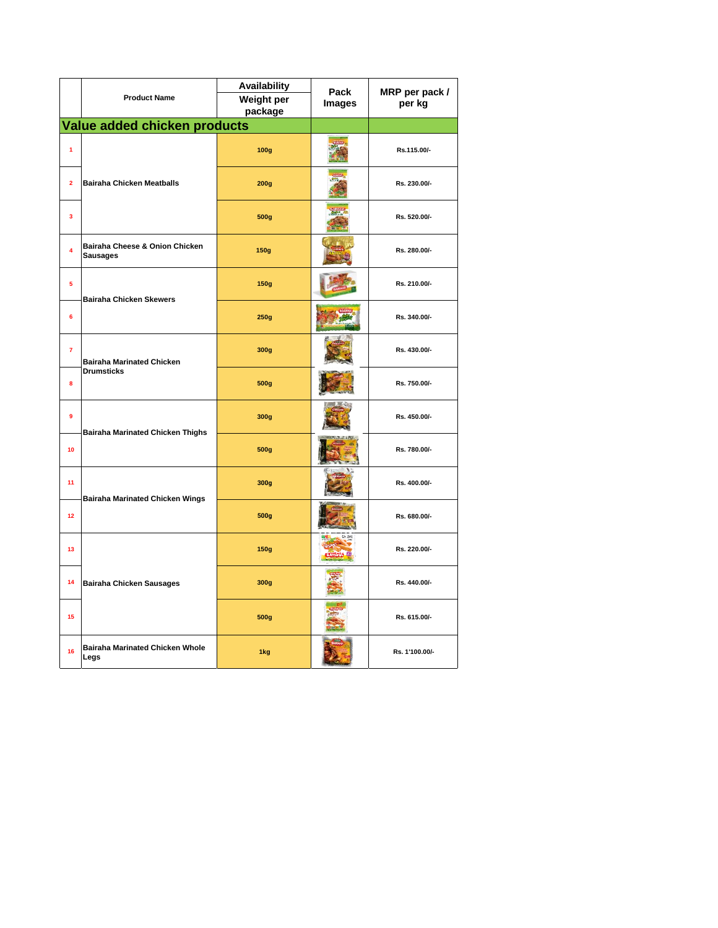|                         |                                                       | Availability          | Pack<br><b>Images</b> | MRP per pack /<br>per kg |
|-------------------------|-------------------------------------------------------|-----------------------|-----------------------|--------------------------|
|                         | <b>Product Name</b>                                   | Weight per<br>package |                       |                          |
|                         |                                                       |                       |                       |                          |
|                         | Value added chicken products                          |                       |                       |                          |
| $\overline{1}$          | <b>Bairaha Chicken Meatballs</b>                      | 100g                  |                       | Rs.115.00/-              |
| $\overline{2}$          |                                                       | 200g                  |                       | Rs. 230.00/-             |
| $\overline{\mathbf{3}}$ |                                                       | 500g                  |                       | Rs. 520.00/-             |
| $\overline{\mathbf{4}}$ | Bairaha Cheese & Onion Chicken<br><b>Sausages</b>     | <b>150g</b>           |                       | Rs. 280.00/-             |
| $\overline{\mathbf{5}}$ | <b>Bairaha Chicken Skewers</b>                        | <b>150g</b>           |                       | Rs. 210.00/-             |
| 6                       |                                                       | 250g                  |                       | Rs. 340.00/-             |
| $\overline{7}$          | <b>Bairaha Marinated Chicken</b><br><b>Drumsticks</b> | 300g                  |                       | Rs. 430.00/-             |
| 8                       |                                                       | 500g                  |                       | Rs. 750.00/-             |
| 9                       | <b>Bairaha Marinated Chicken Thighs</b>               | 300g                  |                       | Rs. 450.00/-             |
| 10                      |                                                       | 500g                  |                       | Rs. 780.00/-             |
| 11                      | Bairaha Marinated Chicken Wings                       | 300g                  |                       | Rs. 400.00/-             |
| 12                      |                                                       | 500g                  |                       | Rs. 680.00/-             |
| 13                      | <b>Bairaha Chicken Sausages</b>                       | <b>150g</b>           |                       | Rs. 220.00/-             |
| 14                      |                                                       | 300g                  |                       | Rs. 440.00/-             |
| 15                      |                                                       | 500g                  |                       | Rs. 615.00/-             |
| 16                      | <b>Bairaha Marinated Chicken Whole</b><br>Legs        | 1kg                   |                       | Rs. 1'100.00/-           |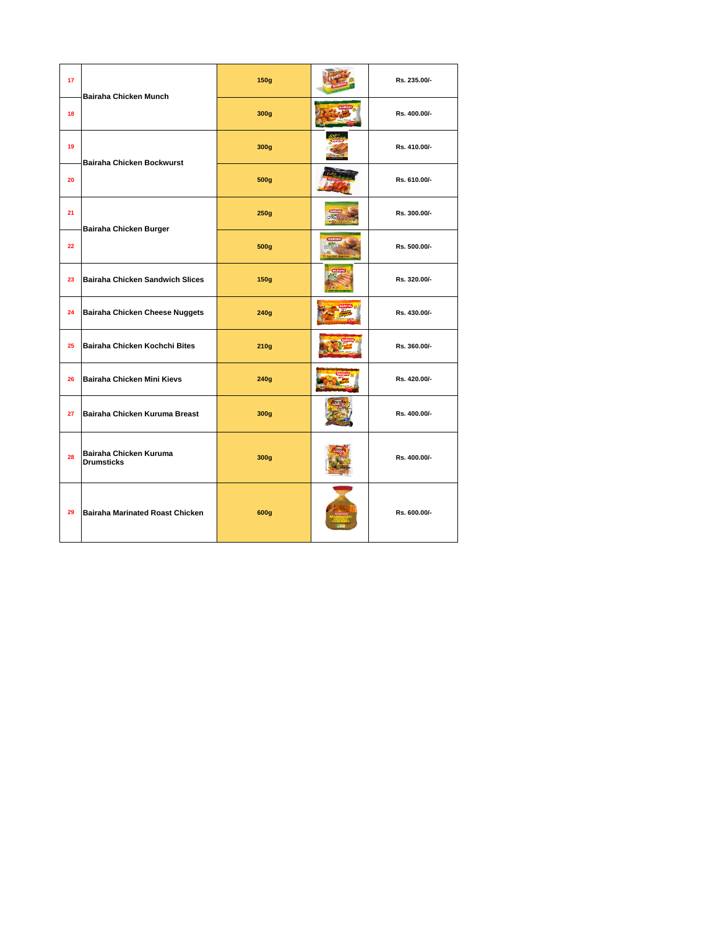| 17 | <b>Bairaha Chicken Munch</b>                | 150g        | Rs. 235.00/- |
|----|---------------------------------------------|-------------|--------------|
| 18 |                                             | 300g        | Rs. 400.00/- |
| 19 | Bairaha Chicken Bockwurst                   | 300g        | Rs. 410.00/- |
| 20 |                                             | 500g        | Rs. 610.00/- |
| 21 | Bairaha Chicken Burger                      | 250g        | Rs. 300.00/- |
| 22 |                                             | 500g        | Rs. 500.00/- |
| 23 | <b>Bairaha Chicken Sandwich Slices</b>      | <b>150g</b> | Rs. 320.00/- |
| 24 | Bairaha Chicken Cheese Nuggets              | 240g        | Rs. 430.00/- |
| 25 | Bairaha Chicken Kochchi Bites               | 210g        | Rs. 360.00/- |
| 26 | Bairaha Chicken Mini Kievs                  | 240g        | Rs. 420.00/- |
| 27 | Bairaha Chicken Kuruma Breast               | 300g        | Rs. 400.00/- |
| 28 | Bairaha Chicken Kuruma<br><b>Drumsticks</b> | 300g        | Rs. 400.00/- |
| 29 | <b>Bairaha Marinated Roast Chicken</b>      | 600g        | Rs. 600.00/- |